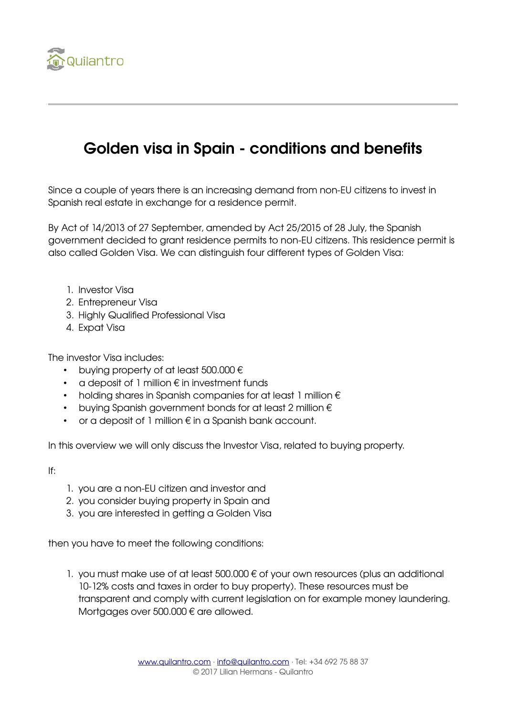

## Golden visa in Spain - conditions and benefits

Since a couple of years there is an increasing demand from non-EU citizens to invest in Spanish real estate in exchange for a residence permit.

By Act of 14/2013 of 27 September, amended by Act 25/2015 of 28 July, the Spanish government decided to grant residence permits to non-EU citizens. This residence permit is also called Golden Visa. We can distinguish four different types of Golden Visa:

- 1. Investor Visa
- 2. Entrepreneur Visa
- 3. Highly Qualified Professional Visa
- 4. Expat Visa

The investor Visa includes:

- buying property of at least 500.000 €
- $\alpha$  deposit of 1 million  $\epsilon$  in investment funds
- holding shares in Spanish companies for at least 1 million  $\epsilon$
- buying Spanish government bonds for at least 2 million €
- or a deposit of 1 million € in a Spanish bank account.

In this overview we will only discuss the Investor Visa, related to buying property.

If:

- 1. you are a non-EU citizen and investor and
- 2. you consider buying property in Spain and
- 3. you are interested in getting a Golden Visa

then you have to meet the following conditions:

1. you must make use of at least 500.000 € of your own resources (plus an additional 10-12% costs and taxes in order to buy property). These resources must be transparent and comply with current legislation on for example money laundering. Mortgages over 500.000 € are allowed.